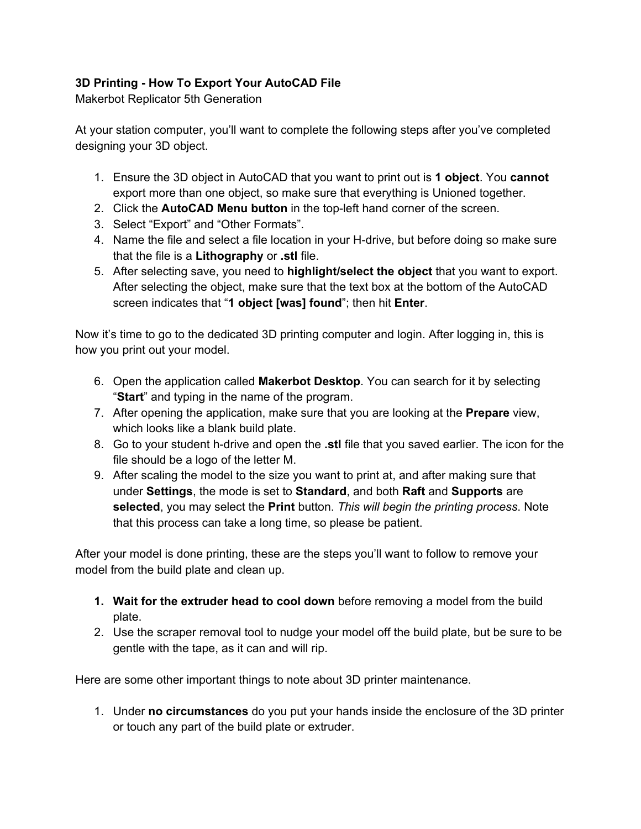## **3D Printing How To Export Your AutoCAD File**

Makerbot Replicator 5th Generation

At your station computer, you'll want to complete the following steps after you've completed designing your 3D object.

- 1. Ensure the 3D object in AutoCAD that you want to print out is **1 object**. You **cannot** export more than one object, so make sure that everything is Unioned together.
- 2. Click the **AutoCAD Menu button** in the topleft hand corner of the screen.
- 3. Select "Export" and "Other Formats".
- 4. Name the file and select a file location in your H-drive, but before doing so make sure that the file is a **Lithography** or **.stl** file.
- 5. After selecting save, you need to **highlight/select the object** that you want to export. After selecting the object, make sure that the text box at the bottom of the AutoCAD screen indicates that "**1 object [was] found**"; then hit **Enter**.

Now it's time to go to the dedicated 3D printing computer and login. After logging in, this is how you print out your model.

- 6. Open the application called **Makerbot Desktop**. You can search for it by selecting "**Start**" and typing in the name of the program.
- 7. After opening the application, make sure that you are looking at the **Prepare** view, which looks like a blank build plate.
- 8. Go to your student h-drive and open the **.stl** file that you saved earlier. The icon for the file should be a logo of the letter M.
- 9. After scaling the model to the size you want to print at, and after making sure that under **Settings**, the mode is set to **Standard**, and both **Raft** and **Supports** are **selected**, you may select the **Print** button. *This will begin the printing process*. Note that this process can take a long time, so please be patient.

After your model is done printing, these are the steps you'll want to follow to remove your model from the build plate and clean up.

- **1. Wait for the extruder head to cool down** before removing a model from the build plate.
- 2. Use the scraper removal tool to nudge your model off the build plate, but be sure to be gentle with the tape, as it can and will rip.

Here are some other important things to note about 3D printer maintenance.

1. Under **no circumstances** do you put your hands inside the enclosure of the 3D printer or touch any part of the build plate or extruder.